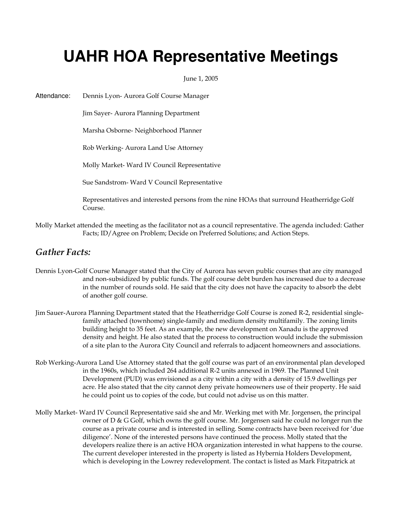# **UAHR HOA Representative Meetings**

June 1, 2005

Attendance: Dennis Lyon- Aurora Golf Course Manager

Jim Sayer- Aurora Planning Department

Marsha Osborne- Neighborhood Planner

Rob Werking- Aurora Land Use Attorney

Molly Market- Ward IV Council Representative

Sue Sandstrom- Ward V Council Representative

 Representatives and interested persons from the nine HOAs that surround Heatherridge Golf Course.

Molly Market attended the meeting as the facilitator not as a council representative. The agenda included: Gather Facts; ID/Agree on Problem; Decide on Preferred Solutions; and Action Steps.

### Gather Facts:

- Dennis Lyon-Golf Course Manager stated that the City of Aurora has seven public courses that are city managed and non-subsidized by public funds. The golf course debt burden has increased due to a decrease in the number of rounds sold. He said that the city does not have the capacity to absorb the debt of another golf course.
- Jim Sauer-Aurora Planning Department stated that the Heatherridge Golf Course is zoned R-2, residential singlefamily attached (townhome) single-family and medium density multifamily. The zoning limits building height to 35 feet. As an example, the new development on Xanadu is the approved density and height. He also stated that the process to construction would include the submission of a site plan to the Aurora City Council and referrals to adjacent homeowners and associations.
- Rob Werking-Aurora Land Use Attorney stated that the golf course was part of an environmental plan developed in the 1960s, which included 264 additional R-2 units annexed in 1969. The Planned Unit Development (PUD) was envisioned as a city within a city with a density of 15.9 dwellings per acre. He also stated that the city cannot deny private homeowners use of their property. He said he could point us to copies of the code, but could not advise us on this matter.
- Molly Market- Ward IV Council Representative said she and Mr. Werking met with Mr. Jorgensen, the principal owner of D & G Golf, which owns the golf course. Mr. Jorgensen said he could no longer run the course as a private course and is interested in selling. Some contracts have been received for 'due diligence'. None of the interested persons have continued the process. Molly stated that the developers realize there is an active HOA organization interested in what happens to the course. The current developer interested in the property is listed as Hybernia Holders Development, which is developing in the Lowrey redevelopment. The contact is listed as Mark Fitzpatrick at